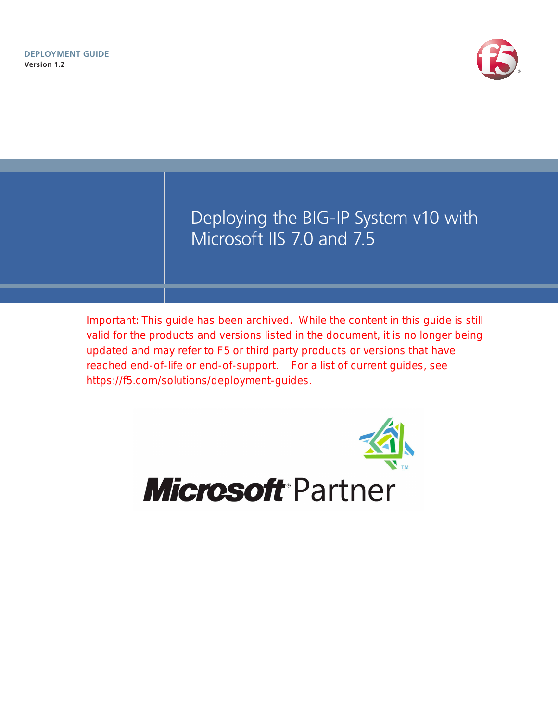

Deploying the BIG-IP System v10 with Microsoft IIS 7.0 and 7.5

Important: This guide has been archived. While the content in this guide is still valid for the products and versions listed in the document, it is no longer being updated and may refer to F5 or third party products or versions that have reached end-of-life or end-of-support. For a list of current guides, see https://f5.com/solutions/deployment-guides.



# **Microsoft Partner**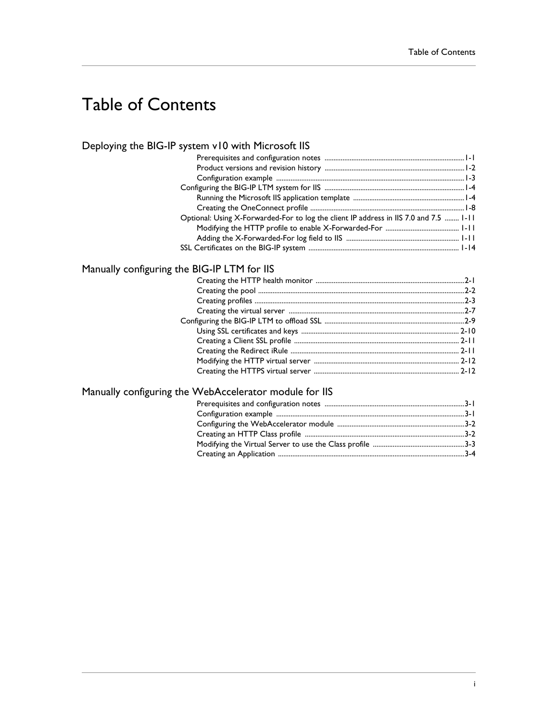# Table of Contents

### [Deploying the BIG-IP system v10 with Microsoft IIS](#page-3-0)

| Optional: Using X-Forwarded-For to log the client IP address in IIS 7.0 and 7.5  1-11 |
|---------------------------------------------------------------------------------------|
|                                                                                       |
|                                                                                       |
|                                                                                       |
|                                                                                       |

### [Manually configuring the BIG-IP LTM for IIS](#page-18-0)

### [Manually configuring the WebAccelerator module for IIS](#page-32-0)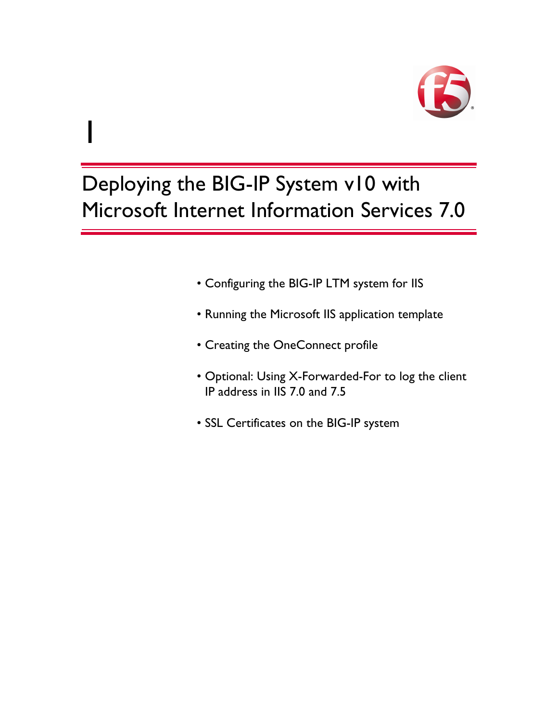

# Deploying the BIG-IP System v10 with Microsoft Internet Information Services 7.0

1

- [Configuring the BIG-IP LTM system for IIS](#page-6-0)
- [Running the Microsoft IIS application template](#page-6-1)
- [Creating the OneConnect profile](#page-10-0)
- [Optional: Using X-Forwarded-For to log the client](#page--1-0)  [IP address in IIS 7.0 and 7.5](#page--1-0)
- [SSL Certificates on the BIG-IP system](#page-16-0)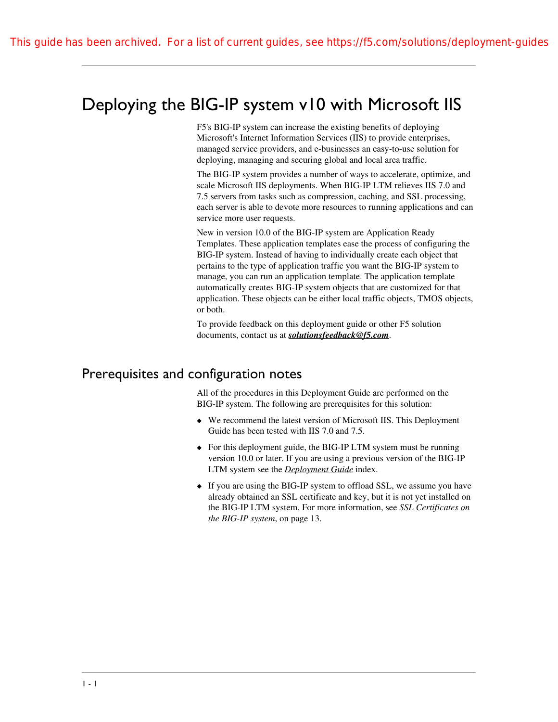# <span id="page-3-0"></span>Deploying the BIG-IP system v10 with Microsoft IIS

F5's BIG-IP system can increase the existing benefits of deploying Microsoft's Internet Information Services (IIS) to provide enterprises, managed service providers, and e-businesses an easy-to-use solution for deploying, managing and securing global and local area traffic.

The BIG-IP system provides a number of ways to accelerate, optimize, and scale Microsoft IIS deployments. When BIG-IP LTM relieves IIS 7.0 and 7.5 servers from tasks such as compression, caching, and SSL processing, each server is able to devote more resources to running applications and can service more user requests.

New in version 10.0 of the BIG-IP system are Application Ready Templates. These application templates ease the process of configuring the BIG-IP system. Instead of having to individually create each object that pertains to the type of application traffic you want the BIG-IP system to manage, you can run an application template. The application template automatically creates BIG-IP system objects that are customized for that application. These objects can be either local traffic objects, TMOS objects, or both.

[To provide feedback on this deployment guide or other F5 solution](mailto:solutionsfeedback@f5.com)  [documents, contact us at](mailto:solutionsfeedback@f5.com) *solutionsfeedback@f5.com*.

### <span id="page-3-1"></span>Prerequisites and configuration notes

All of the procedures in this Deployment Guide are performed on the BIG-IP system. The following are prerequisites for this solution:

- ◆ We recommend the latest version of Microsoft IIS. This Deployment Guide has been tested with IIS 7.0 and 7.5.
- ◆ [For this deployment guide, the BIG-IP LTM system must be running](http://www.f5.com/solutions/resources/deployment-guides/index.html#letterM)  [version 10.0 or later. If you are using a previous version of the BIG-IP](http://www.f5.com/solutions/resources/deployment-guides/index.html#letterM)  [LTM system see the](http://www.f5.com/solutions/resources/deployment-guides/index.html#letterM) *Deployment Guide* index.
- ◆ If you are using the BIG-IP system to offload SSL, we assume you have already obtained an SSL certificate and key, but it is not yet installed on the BIG-IP LTM system. For more information, see *[SSL Certificates on](#page-16-0)  [the BIG-IP system](#page-16-0)*, on page 13.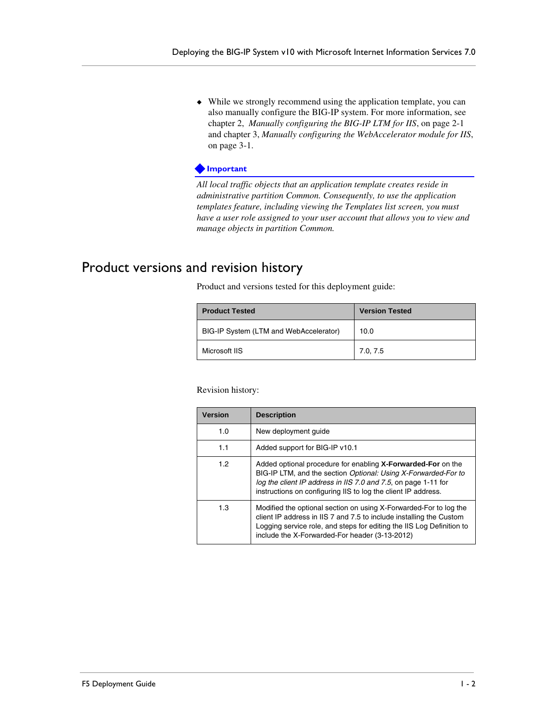◆ While we strongly recommend using the application template, you can also manually configure the BIG-IP system. For more information, see chapter 2, *[Manually configuring the BIG-IP LTM for IIS](#page-18-2)*, on page 2-1 and chapter 3, *[Manually configuring the WebAccelerator module for IIS](#page-32-3)*, [on page 3-1.](#page-32-3)

#### **Important**

*All local traffic objects that an application template creates reside in administrative partition Common. Consequently, to use the application templates feature, including viewing the Templates list screen, you must have a user role assigned to your user account that allows you to view and manage objects in partition Common.*

# <span id="page-4-0"></span>Product versions and revision history

Product and versions tested for this deployment guide:

| <b>Product Tested</b>                  | <b>Version Tested</b> |
|----------------------------------------|-----------------------|
| BIG-IP System (LTM and WebAccelerator) | 10.0                  |
| Microsoft IIS                          | 7.0, 7.5              |

Revision history:

| <b>Version</b> | <b>Description</b>                                                                                                                                                                                                                                                  |
|----------------|---------------------------------------------------------------------------------------------------------------------------------------------------------------------------------------------------------------------------------------------------------------------|
| 1.0            | New deployment quide                                                                                                                                                                                                                                                |
| 1.1            | Added support for BIG-IP v10.1                                                                                                                                                                                                                                      |
| 1.2            | Added optional procedure for enabling X-Forwarded-For on the<br>BIG-IP LTM, and the section Optional: Using X-Forwarded-For to<br>log the client IP address in IIS 7.0 and 7.5, on page 1-11 for<br>instructions on configuring IIS to log the client IP address.   |
| 1.3            | Modified the optional section on using X-Forwarded-For to log the<br>client IP address in IIS 7 and 7.5 to include installing the Custom<br>Logging service role, and steps for editing the IIS Log Definition to<br>include the X-Forwarded-For header (3-13-2012) |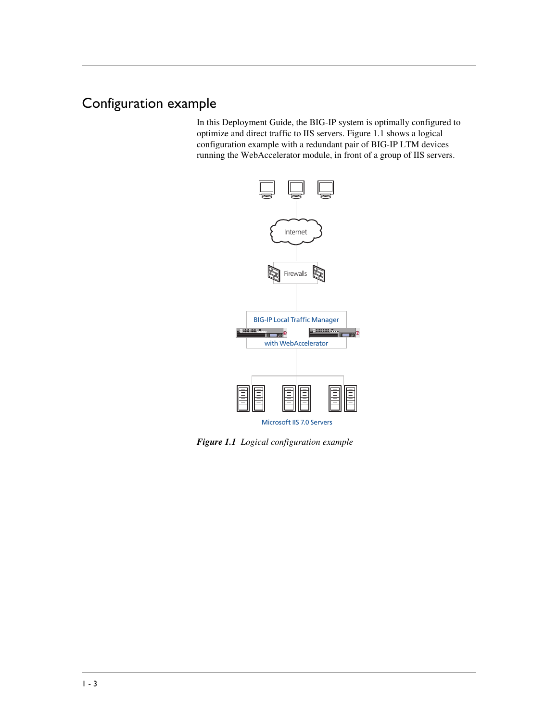# <span id="page-5-0"></span>Configuration example

In this Deployment Guide, the BIG-IP system is optimally configured to optimize and direct traffic to IIS servers. Figure 1.1 shows a logical configuration example with a redundant pair of BIG-IP LTM devices running the WebAccelerator module, in front of a group of IIS servers.



*Figure 1.1 Logical configuration example*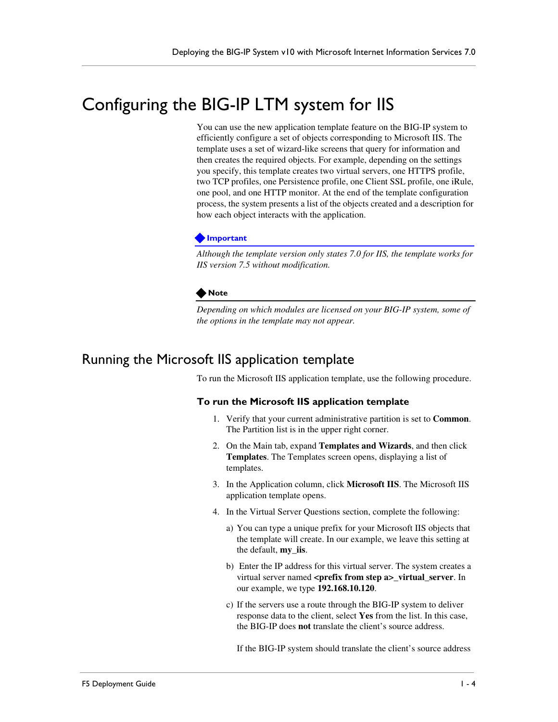# <span id="page-6-0"></span>Configuring the BIG-IP LTM system for IIS

You can use the new application template feature on the BIG-IP system to efficiently configure a set of objects corresponding to Microsoft IIS. The template uses a set of wizard-like screens that query for information and then creates the required objects. For example, depending on the settings you specify, this template creates two virtual servers, one HTTPS profile, two TCP profiles, one Persistence profile, one Client SSL profile, one iRule, one pool, and one HTTP monitor. At the end of the template configuration process, the system presents a list of the objects created and a description for how each object interacts with the application.

#### **Important**

*Although the template version only states 7.0 for IIS, the template works for IIS version 7.5 without modification.*

#### **Note**

*Depending on which modules are licensed on your BIG-IP system, some of the options in the template may not appear.* 

# <span id="page-6-1"></span>Running the Microsoft IIS application template

To run the Microsoft IIS application template, use the following procedure.

#### **To run the Microsoft IIS application template**

- 1. Verify that your current administrative partition is set to **Common**. The Partition list is in the upper right corner.
- 2. On the Main tab, expand **Templates and Wizards**, and then click **Templates**. The Templates screen opens, displaying a list of templates.
- 3. In the Application column, click **Microsoft IIS**. The Microsoft IIS application template opens.
- 4. In the Virtual Server Questions section, complete the following:
	- a) You can type a unique prefix for your Microsoft IIS objects that the template will create. In our example, we leave this setting at the default, **my\_iis**.
	- b) Enter the IP address for this virtual server. The system creates a virtual server named <prefix from step a> virtual server. In our example, we type **192.168.10.120**.
	- c) If the servers use a route through the BIG-IP system to deliver response data to the client, select **Yes** from the list. In this case, the BIG-IP does **not** translate the client's source address.

If the BIG-IP system should translate the client's source address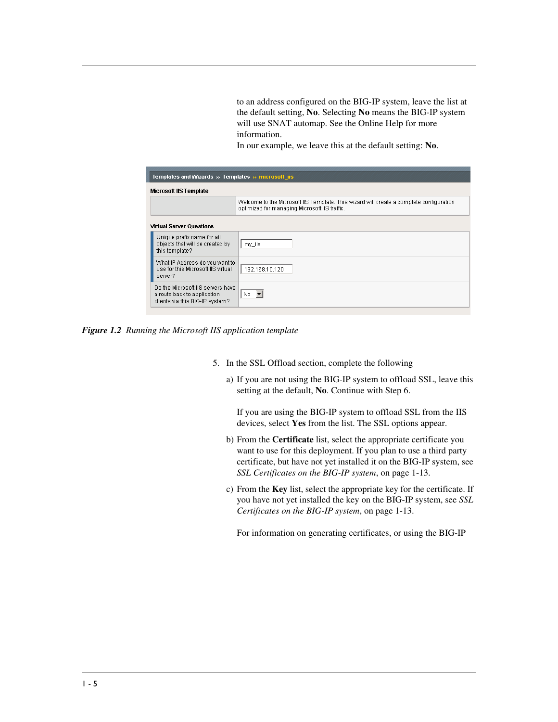to an address configured on the BIG-IP system, leave the list at the default setting, **No**. Selecting **No** means the BIG-IP system will use SNAT automap. See the Online Help for more information.

In our example, we leave this at the default setting: **No**.

| Templates and Wizards » Templates » microsoft iis                                                   |                                                                                                                                          |  |
|-----------------------------------------------------------------------------------------------------|------------------------------------------------------------------------------------------------------------------------------------------|--|
| Microsoft IIS Template                                                                              |                                                                                                                                          |  |
|                                                                                                     | Welcome to the Microsoft IIS Template. This wizard will create a complete configuration<br>optimized for managing Microsoft IIS traffic. |  |
| <b>Virtual Server Questions</b>                                                                     |                                                                                                                                          |  |
| Unique prefix name for all<br>objects that will be created by<br>this template?                     | my_iis                                                                                                                                   |  |
| What IP Address do you want to<br>use for this Microsoft IIS virtual<br>server?                     | 192.168.10.120                                                                                                                           |  |
| Do the Microsoft IIS servers have<br>a route back to application<br>clients via this BIG-IP system? | ∣No ▼l                                                                                                                                   |  |

*Figure 1.2 Running the Microsoft IIS application template*

- 5. In the SSL Offload section, complete the following
	- a) If you are not using the BIG-IP system to offload SSL, leave this setting at the default, **No**. Continue with Step 6.

If you are using the BIG-IP system to offload SSL from the IIS devices, select **Yes** from the list. The SSL options appear.

- b) From the **Certificate** list, select the appropriate certificate you want to use for this deployment. If you plan to use a third party certificate, but have not yet installed it on the BIG-IP system, see *[SSL Certificates on the BIG-IP system](#page-16-0)*, on page 1-13.
- c) From the **Key** list, select the appropriate key for the certificate. If you have not yet installed the key on the BIG-IP system, see *[SSL](#page-16-0)  [Certificates on the BIG-IP system](#page-16-0)*, on page 1-13.

For information on generating certificates, or using the BIG-IP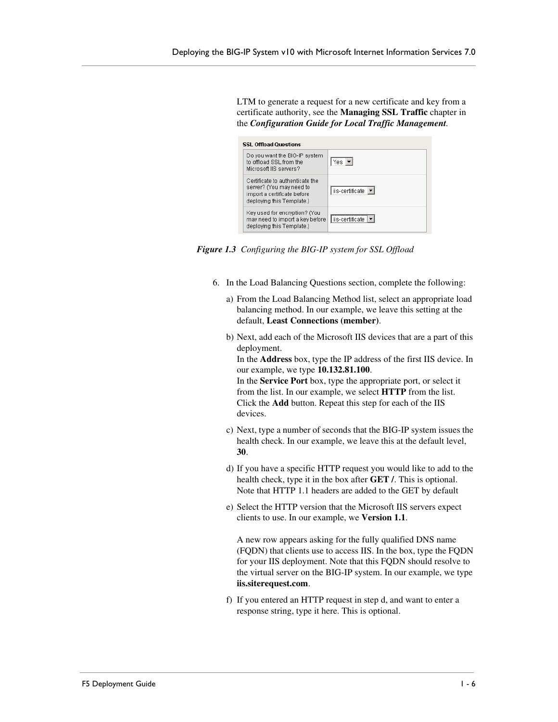LTM to generate a request for a new certificate and key from a certificate authority, see the **Managing SSL Traffic** chapter in the *Configuration Guide for Local Traffic Management.*

| <b>SSL Offload Questions</b>                                                                                            |                            |  |
|-------------------------------------------------------------------------------------------------------------------------|----------------------------|--|
| Do you want the BIG-IP system<br>to offload SSL from the<br>Microsoft IIS servers?                                      | $Yes$ $\blacktriangledown$ |  |
| Certificate to authenticate the<br>server? (You may need to<br>import a certificate before<br>deploying this Template.) | iis-certificate ▼          |  |
| Key used for encryption? (You<br>may need to import a key before<br>deploying this Template.)                           | liis-certificate   v       |  |

*Figure 1.3 Configuring the BIG-IP system for SSL Offload*

- 6. In the Load Balancing Questions section, complete the following:
	- a) From the Load Balancing Method list, select an appropriate load balancing method. In our example, we leave this setting at the default, **Least Connections (member)**.
	- b) Next, add each of the Microsoft IIS devices that are a part of this deployment.

In the **Address** box, type the IP address of the first IIS device. In our example, we type **10.132.81.100**.

In the **Service Port** box, type the appropriate port, or select it from the list. In our example, we select **HTTP** from the list. Click the **Add** button. Repeat this step for each of the IIS devices.

- c) Next, type a number of seconds that the BIG-IP system issues the health check. In our example, we leave this at the default level, **30**.
- d) If you have a specific HTTP request you would like to add to the health check, type it in the box after **GET /**. This is optional. Note that HTTP 1.1 headers are added to the GET by default
- e) Select the HTTP version that the Microsoft IIS servers expect clients to use. In our example, we **Version 1.1**.

A new row appears asking for the fully qualified DNS name (FQDN) that clients use to access IIS. In the box, type the FQDN for your IIS deployment. Note that this FQDN should resolve to the virtual server on the BIG-IP system. In our example, we type **iis.siterequest.com**.

f) If you entered an HTTP request in step d, and want to enter a response string, type it here. This is optional.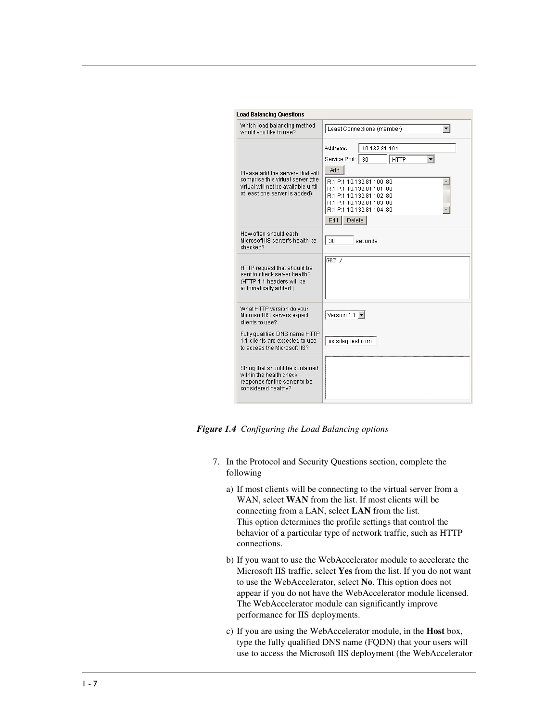| <b>Load Balancing Questions</b>                                                                                                                |                                                                                                                                                                                                                                           |
|------------------------------------------------------------------------------------------------------------------------------------------------|-------------------------------------------------------------------------------------------------------------------------------------------------------------------------------------------------------------------------------------------|
| Which load balancing method<br>would you like to use?                                                                                          | Least Connections (member)                                                                                                                                                                                                                |
| Please add the servers that will<br>comprise this virtual server (the<br>virtual will not be available until<br>at least one server is added): | Address:<br>10.132.81.104<br>Service Port:<br>80<br><b>HTTP</b><br>Add<br>R:1 P:1 10.132.81.100:80<br>R:1 P:1 10.132.81.101 :80<br>R:1 P:1 10.132.81.102:80<br>R:1 P:1 10.132.81.103 :80<br>R:1 P:1 10.132.81.104 :80<br>Delete<br>Edit I |
| How often should each.<br>Microsoft IIS server's health be<br>checked?                                                                         | 30<br>seconds                                                                                                                                                                                                                             |
| HTTP request that should be<br>sent to check server health?<br>(HTTP 1.1 headers will be<br>automatically added.)                              | GET /                                                                                                                                                                                                                                     |
| What HTTP version do your<br>Microsoft IIS servers expect<br>clients to use?                                                                   | Version 1.1 $\blacktriangleright$                                                                                                                                                                                                         |
| Fully qualified DNS name HTTP<br>1.1 clients are expected to use<br>to access the Microsoft IIS?                                               | iis.sitequest.com                                                                                                                                                                                                                         |
| String that should be contained<br>within the health check<br>response for the server to be<br>considered healthy?                             |                                                                                                                                                                                                                                           |

*Figure 1.4 Configuring the Load Balancing options*

- 7. In the Protocol and Security Questions section, complete the following
	- a) If most clients will be connecting to the virtual server from a WAN, select **WAN** from the list. If most clients will be connecting from a LAN, select **LAN** from the list. This option determines the profile settings that control the behavior of a particular type of network traffic, such as HTTP connections.
	- b) If you want to use the WebAccelerator module to accelerate the Microsoft IIS traffic, select **Yes** from the list. If you do not want to use the WebAccelerator, select **No**. This option does not appear if you do not have the WebAccelerator module licensed. The WebAccelerator module can significantly improve performance for IIS deployments.
	- c) If you are using the WebAccelerator module, in the **Host** box, type the fully qualified DNS name (FQDN) that your users will use to access the Microsoft IIS deployment (the WebAccelerator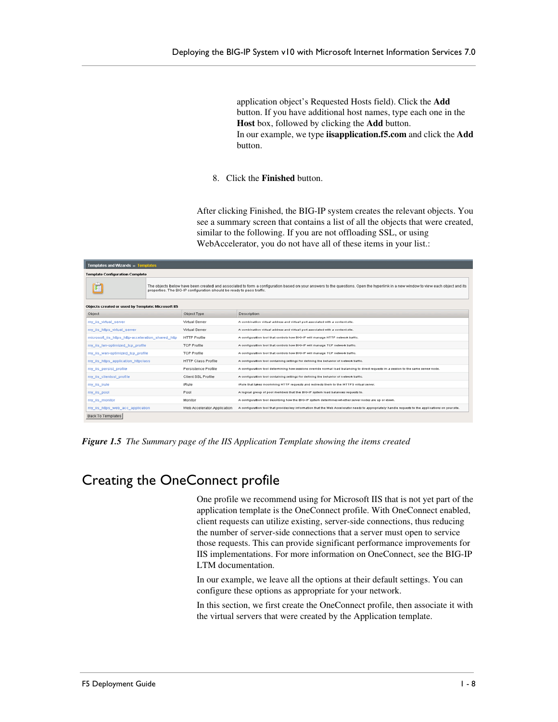application object's Requested Hosts field). Click the **Add** button. If you have additional host names, type each one in the **Host** box, followed by clicking the **Add** button. In our example, we type **iisapplication.f5.com** and click the **Add** button.

8. Click the **Finished** button.

After clicking Finished, the BIG-IP system creates the relevant objects. You see a summary screen that contains a list of all the objects that were created, similar to the following. If you are not offloading SSL, or using WebAccelerator, you do not have all of these items in your list.:

| Templates and Wizards » Templates                  |  |                                                                       |                                                                                                                                                                                   |
|----------------------------------------------------|--|-----------------------------------------------------------------------|-----------------------------------------------------------------------------------------------------------------------------------------------------------------------------------|
| <b>Template Configuration Complete</b>             |  |                                                                       |                                                                                                                                                                                   |
|                                                    |  | properties. The BIG-IP configuration should be ready to pass traffic. | The objects below have been created and associated to form a configuration based on your answers to the questions. Open the hyperlink in a new window to view each object and its |
| Objects created or used by Template: Microsoft IIS |  |                                                                       |                                                                                                                                                                                   |
| Object                                             |  | Object Type                                                           | Description                                                                                                                                                                       |
| my_iis_virtual_server                              |  | Virtual Server                                                        | A combination virtual address and virtual port associated with a content site.                                                                                                    |
| my iis https virtual server                        |  | Virtual Server                                                        | A combination virtual address and virtual port associated with a content site.                                                                                                    |
| microsoft_iis_https_http-acceleration_shared_http  |  | <b>HTTP Profile</b>                                                   | A configuration tool that controls how BIG-IP will manage HTTP network traffic.                                                                                                   |
| my iis lan-optimized tcp profile                   |  | <b>TCP Profile</b>                                                    | A configuration tool that controls how BIG-IP will manage TCP network traffic.                                                                                                    |
| my_iis_wan-optimized_tcp_profile                   |  | <b>TCP Profile</b>                                                    | A configuration tool that controls how BIG-IP will manage TCP network traffic.                                                                                                    |
| my iis https application httpclass                 |  | <b>HTTP Class Profile</b>                                             | A configuration tool containing settings for defining the behavior of network traffic.                                                                                            |
| my ils persist profile                             |  | Persistence Profile                                                   | A configuration tool determining how sessions override normal load balancing to direct requests in a session to the same server node.                                             |
| my iis clientsst profile                           |  | Client SSL Profile                                                    | A configuration tool containing settings for defining the behavior of network traffic.                                                                                            |
| my_iis_irule                                       |  | iRule                                                                 | iRule that takes incomming HTTP requests and redirects them to the HTTPS virtual server.                                                                                          |
| my_ils_pool                                        |  | Pool                                                                  | A logical group of pool members that the BIG-IP system load balances requests to.                                                                                                 |
| my_iis_monitor                                     |  | Monitor                                                               | A configuration tool describing how the BIG-IP system determines whether server nodes are up or down.                                                                             |
| my iis https web acc application                   |  | Web Accelerator Application                                           | A configuration tool that provides key information that the Web Accelerator needs to appropriately handle requests to the applications on your site.                              |
| Back To Templates                                  |  |                                                                       |                                                                                                                                                                                   |

*Figure 1.5 The Summary page of the IIS Application Template showing the items created*

# <span id="page-10-0"></span>Creating the OneConnect profile

One profile we recommend using for Microsoft IIS that is not yet part of the application template is the OneConnect profile. With OneConnect enabled, client requests can utilize existing, server-side connections, thus reducing the number of server-side connections that a server must open to service those requests. This can provide significant performance improvements for IIS implementations. For more information on OneConnect, see the BIG-IP LTM documentation.

In our example, we leave all the options at their default settings. You can configure these options as appropriate for your network.

In this section, we first create the OneConnect profile, then associate it with the virtual servers that were created by the Application template.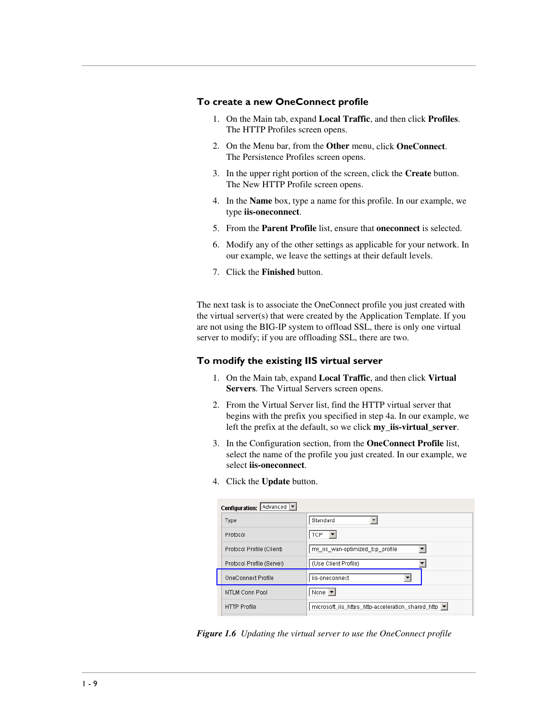#### **To create a new OneConnect profile**

- 1. On the Main tab, expand **Local Traffic**, and then click **Profiles**. The HTTP Profiles screen opens.
- 2. On the Menu bar, from the **Other** menu, click **OneConnect**. The Persistence Profiles screen opens.
- 3. In the upper right portion of the screen, click the **Create** button. The New HTTP Profile screen opens.
- 4. In the **Name** box, type a name for this profile. In our example, we type **iis-oneconnect**.
- 5. From the **Parent Profile** list, ensure that **oneconnect** is selected.
- 6. Modify any of the other settings as applicable for your network. In our example, we leave the settings at their default levels.
- 7. Click the **Finished** button.

The next task is to associate the OneConnect profile you just created with the virtual server(s) that were created by the Application Template. If you are not using the BIG-IP system to offload SSL, there is only one virtual server to modify; if you are offloading SSL, there are two.

#### **To modify the existing IIS virtual server**

- 1. On the Main tab, expand **Local Traffic**, and then click **Virtual Servers**. The Virtual Servers screen opens.
- 2. From the Virtual Server list, find the HTTP virtual server that begins with the prefix you specified in step 4a. In our example, we left the prefix at the default, so we click **my\_iis-virtual\_server**.
- 3. In the Configuration section, from the **OneConnect Profile** list, select the name of the profile you just created. In our example, we select **iis-oneconnect**.
- 4. Click the **Update** button.

| Configuration: Advanced   |                                                   |  |
|---------------------------|---------------------------------------------------|--|
| Type                      | Standard                                          |  |
| Protocol                  | TCP                                               |  |
| Protocol Profile (Client) | my iis wan-optimized tcp profile                  |  |
| Protocol Profile (Server) | (Use Client Profile)                              |  |
| OneConnect Profile        | iis-oneconnect                                    |  |
| NTLM Conn Pool            | None $\blacktriangledown$                         |  |
| <b>HTTP Profile</b>       | microsoft_iis_https_http-acceleration_shared_http |  |

*Figure 1.6 Updating the virtual server to use the OneConnect profile*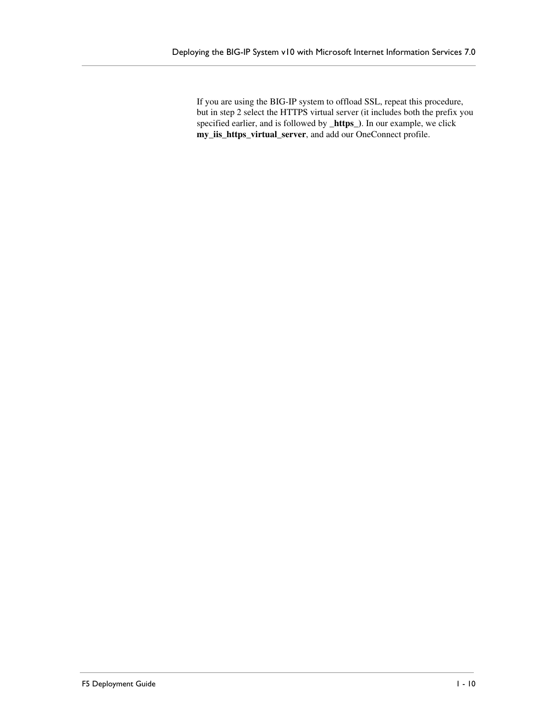If you are using the BIG-IP system to offload SSL, repeat this procedure, but in step 2 select the HTTPS virtual server (it includes both the prefix you specified earlier, and is followed by **\_https\_)**. In our example, we click **my\_iis\_https\_virtual\_server**, and add our OneConnect profile.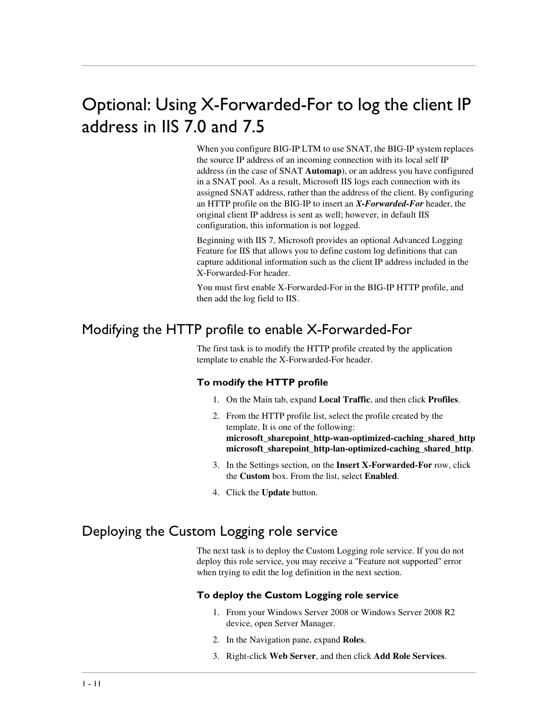# Optional: Using X-Forwarded-For to log the client IP address in IIS 7.0 and 7.5

When you configure BIG-IP LTM to use SNAT, the BIG-IP system replaces the source IP address of an incoming connection with its local self IP address (in the case of SNAT **Automap**), or an address you have configured in a SNAT pool. As a result, Microsoft IIS logs each connection with its assigned SNAT address, rather than the address of the client. By configuring an HTTP profile on the BIG-IP to insert an *X-Forwarded-For* header, the original client IP address is sent as well; however, in default IIS configuration, this information is not logged.

Beginning with IIS 7, Microsoft provides an optional Advanced Logging Feature for IIS that allows you to define custom log definitions that can capture additional information such as the client IP address included in the X-Forwarded-For header.

You must first enable X-Forwarded-For in the BIG-IP HTTP profile, and then add the log field to IIS.

# Modifying the HTTP profile to enable X-Forwarded-For

The first task is to modify the HTTP profile created by the application template to enable the X-Forwarded-For header.

#### **To modify the HTTP profile**

- 1. On the Main tab, expand **Local Traffic**, and then click **Profiles**.
- 2. From the HTTP profile list, select the profile created by the template. It is one of the following: **microsoft\_sharepoint\_http-wan-optimized-caching\_shared\_http microsoft\_sharepoint\_http-lan-optimized-caching\_shared\_http**.
- 3. In the Settings section, on the **Insert X-Forwarded-For** row, click the **Custom** box. From the list, select **Enabled**.
- 4. Click the **Update** button.

### Deploying the Custom Logging role service

The next task is to deploy the Custom Logging role service. If you do not deploy this role service, you may receive a "Feature not supported" error when trying to edit the log definition in the next section.

#### **To deploy the Custom Logging role service**

- 1. From your Windows Server 2008 or Windows Server 2008 R2 device, open Server Manager.
- 2. In the Navigation pane, expand **Roles**.
- 3. Right-click **Web Server**, and then click **Add Role Services**.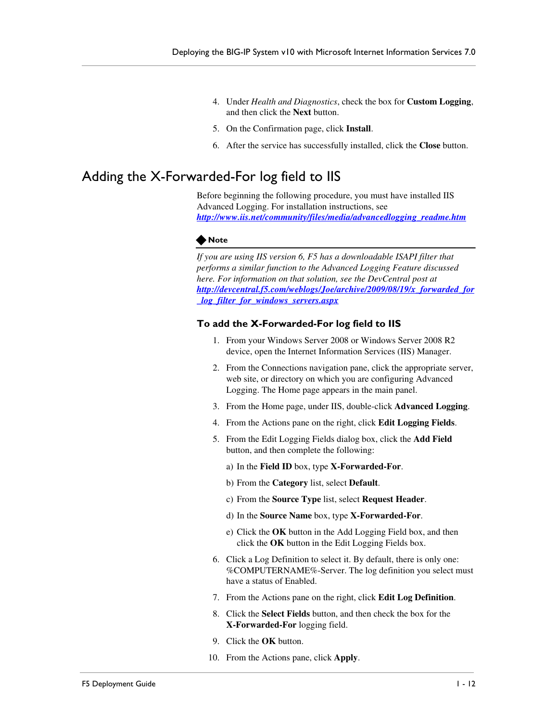- 4. Under *Health and Diagnostics*, check the box for **Custom Logging**, and then click the **Next** button.
- 5. On the Confirmation page, click **Install**.
- 6. After the service has successfully installed, click the **Close** button.

# Adding the X-Forwarded-For log field to IIS

Before beginning the following procedure, you must have installed IIS Advanced Logging. For installation instructions, see *http://www.iis.net/community/files/media/advancedlogging\_readme.htm*

#### **Note**

*If you are using IIS version 6, F5 has a downloadable ISAPI filter that performs a similar function to the Advanced Logging Feature discussed here. For information on that solution, see the DevCentral post at http://devcentral.f5.com/weblogs/Joe/archive/2009/08/19/x\_forwarded\_for \_log\_filter\_for\_windows\_servers.aspx*

#### **To add the X-Forwarded-For log field to IIS**

- 1. From your Windows Server 2008 or Windows Server 2008 R2 device, open the Internet Information Services (IIS) Manager.
- 2. From the Connections navigation pane, click the appropriate server, web site, or directory on which you are configuring Advanced Logging. The Home page appears in the main panel.
- 3. From the Home page, under IIS, double-click **Advanced Logging**.
- 4. From the Actions pane on the right, click **Edit Logging Fields**.
- 5. From the Edit Logging Fields dialog box, click the **Add Field** button, and then complete the following:
	- a) In the **Field ID** box, type **X-Forwarded-For**.
	- b) From the **Category** list, select **Default**.
	- c) From the **Source Type** list, select **Request Header**.
	- d) In the **Source Name** box, type **X-Forwarded-For**.
	- e) Click the **OK** button in the Add Logging Field box, and then click the **OK** button in the Edit Logging Fields box.
- 6. Click a Log Definition to select it. By default, there is only one: %COMPUTERNAME%-Server. The log definition you select must have a status of Enabled.
- 7. From the Actions pane on the right, click **Edit Log Definition**.
- 8. Click the **Select Fields** button, and then check the box for the **X-Forwarded-For** logging field.
- 9. Click the **OK** button.
- 10. From the Actions pane, click **Apply**.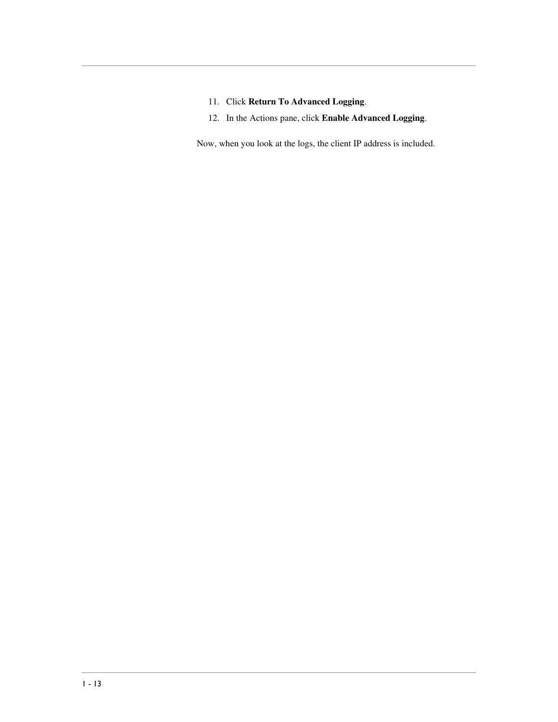- 11. Click **Return To Advanced Logging**.
- 12. In the Actions pane, click **Enable Advanced Logging**.

Now, when you look at the logs, the client IP address is included.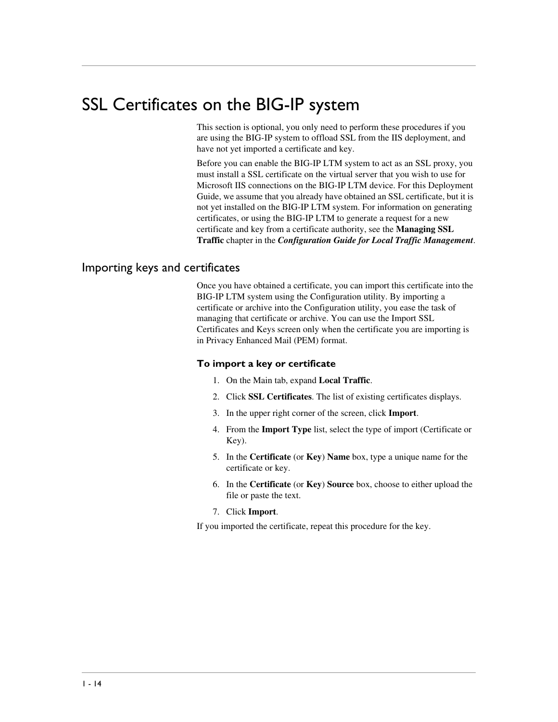# <span id="page-16-0"></span>SSL Certificates on the BIG-IP system

This section is optional, you only need to perform these procedures if you are using the BIG-IP system to offload SSL from the IIS deployment, and have not yet imported a certificate and key.

Before you can enable the BIG-IP LTM system to act as an SSL proxy, you must install a SSL certificate on the virtual server that you wish to use for Microsoft IIS connections on the BIG-IP LTM device. For this Deployment Guide, we assume that you already have obtained an SSL certificate, but it is not yet installed on the BIG-IP LTM system. For information on generating certificates, or using the BIG-IP LTM to generate a request for a new certificate and key from a certificate authority, see the **Managing SSL Traffic** chapter in the *Configuration Guide for Local Traffic Management*.

#### Importing keys and certificates

Once you have obtained a certificate, you can import this certificate into the BIG-IP LTM system using the Configuration utility. By importing a certificate or archive into the Configuration utility, you ease the task of managing that certificate or archive. You can use the Import SSL Certificates and Keys screen only when the certificate you are importing is in Privacy Enhanced Mail (PEM) format.

#### **To import a key or certificate**

- 1. On the Main tab, expand **Local Traffic**.
- 2. Click **SSL Certificates**. The list of existing certificates displays.
- 3. In the upper right corner of the screen, click **Import**.
- 4. From the **Import Type** list, select the type of import (Certificate or Key).
- 5. In the **Certificate** (or **Key**) **Name** box, type a unique name for the certificate or key.
- 6. In the **Certificate** (or **Key**) **Source** box, choose to either upload the file or paste the text.
- 7. Click **Import**.

If you imported the certificate, repeat this procedure for the key.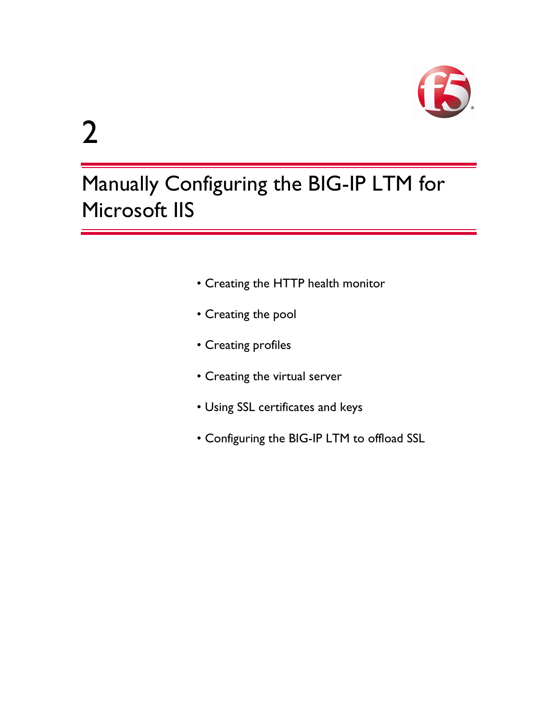

# 2

# Manually Configuring the BIG-IP LTM for Microsoft IIS

- [Creating the HTTP health monitor](#page-18-1)
- [Creating the pool](#page-19-0)
- [Creating profiles](#page-20-0)
- [Creating the virtual server](#page-24-0)
- [Using SSL certificates and keys](#page-27-0)
- [Configuring the BIG-IP LTM to offload SSL](#page-26-0)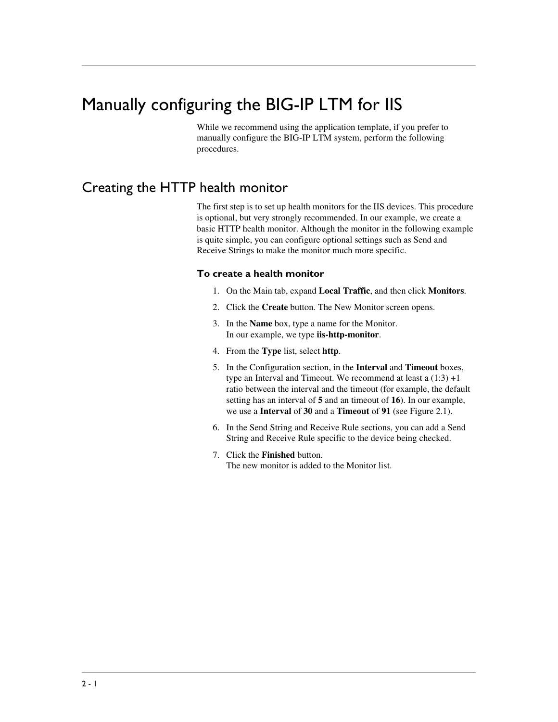# <span id="page-18-2"></span><span id="page-18-0"></span>Manually configuring the BIG-IP LTM for IIS

While we recommend using the application template, if you prefer to manually configure the BIG-IP LTM system, perform the following procedures.

### <span id="page-18-1"></span>Creating the HTTP health monitor

The first step is to set up health monitors for the IIS devices. This procedure is optional, but very strongly recommended. In our example, we create a basic HTTP health monitor. Although the monitor in the following example is quite simple, you can configure optional settings such as Send and Receive Strings to make the monitor much more specific.

#### **To create a health monitor**

- 1. On the Main tab, expand **Local Traffic**, and then click **Monitors**.
- 2. Click the **Create** button. The New Monitor screen opens.
- 3. In the **Name** box, type a name for the Monitor. In our example, we type **iis-http-monitor**.
- 4. From the **Type** list, select **http**.
- 5. In the Configuration section, in the **Interval** and **Timeout** boxes, type an Interval and Timeout. We recommend at least a  $(1:3) +1$ ratio between the interval and the timeout (for example, the default setting has an interval of **5** and an timeout of **16**). In our example, we use a **Interval** of **30** and a **Timeout** of **91** (see Figure 2.1).
- 6. In the Send String and Receive Rule sections, you can add a Send String and Receive Rule specific to the device being checked.
- 7. Click the **Finished** button. The new monitor is added to the Monitor list.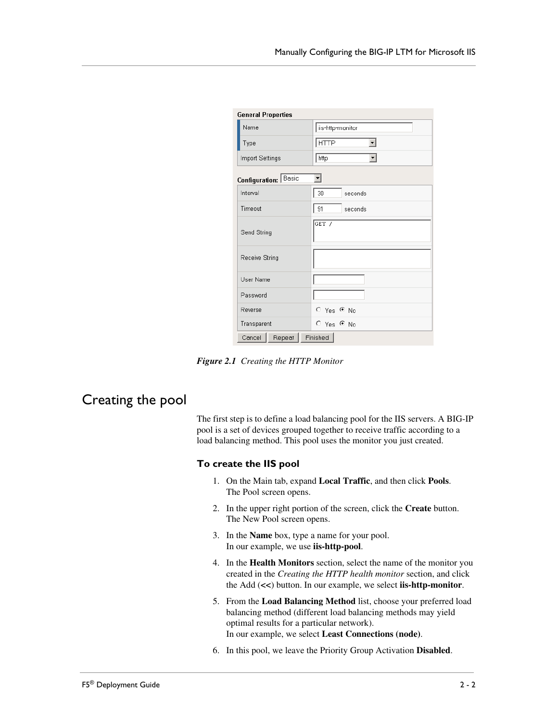| <b>General Properties</b> |                        |
|---------------------------|------------------------|
| Name                      | iis-http-monitor       |
| Type                      | нттр                   |
| Import Settings           | http                   |
| Configuration: Basic      |                        |
| Interval                  | 30<br>seconds          |
| Timeout                   | 91<br>seconds          |
| Send String               | GET /                  |
| Receive String            |                        |
| User Name                 |                        |
| Password                  |                        |
| Reverse                   | $\circ$ Yes $\circ$ No |
| Transparent               | $O$ Yes $O$ No         |
| Repeat<br>Cancel          | Finished               |

*Figure 2.1 Creating the HTTP Monitor* 

### <span id="page-19-0"></span>Creating the pool

The first step is to define a load balancing pool for the IIS servers. A BIG-IP pool is a set of devices grouped together to receive traffic according to a load balancing method. This pool uses the monitor you just created.

#### **To create the IIS pool**

- 1. On the Main tab, expand **Local Traffic**, and then click **Pools**. The Pool screen opens.
- 2. In the upper right portion of the screen, click the **Create** button. The New Pool screen opens.
- 3. In the **Name** box, type a name for your pool. In our example, we use **iis-http-pool**.
- 4. In the **Health Monitors** section, select the name of the monitor you created in the *[Creating the HTTP health monitor](#page-18-1)* section, and click the Add (**<<**) button. In our example, we select **iis-http-monitor**.
- 5. From the **Load Balancing Method** list, choose your preferred load balancing method (different load balancing methods may yield optimal results for a particular network). In our example, we select **Least Connections (node)**.
- 6. In this pool, we leave the Priority Group Activation **Disabled**.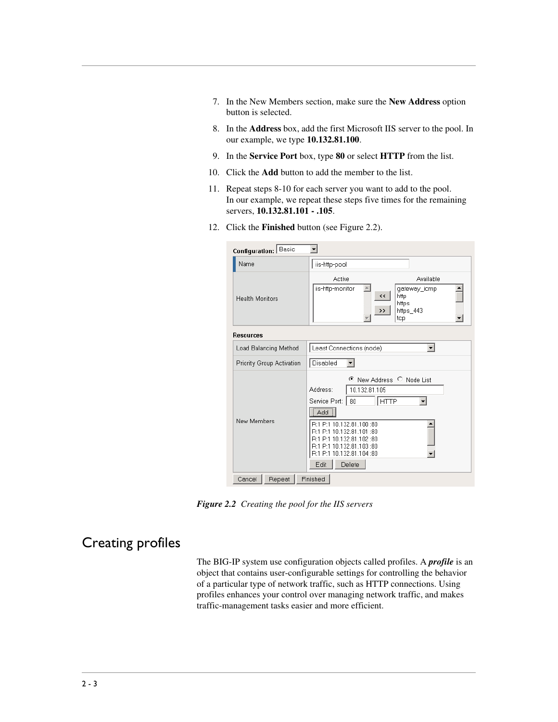- 7. In the New Members section, make sure the **New Address** option button is selected.
- 8. In the **Address** box, add the first Microsoft IIS server to the pool. In our example, we type **10.132.81.100**.
- 9. In the **Service Port** box, type **80** or select **HTTP** from the list.
- 10. Click the **Add** button to add the member to the list.
- 11. Repeat steps 8-10 for each server you want to add to the pool. In our example, we repeat these steps five times for the remaining servers, **10.132.81.101 - .105**.
- 12. Click the **Finished** button (see Figure 2.2).

| Configuration: Basic      |                                                                                                                                                                                                                                                                         |
|---------------------------|-------------------------------------------------------------------------------------------------------------------------------------------------------------------------------------------------------------------------------------------------------------------------|
| Name                      | iis-http-pool                                                                                                                                                                                                                                                           |
| <b>Health Monitors</b>    | Active<br>Available<br>iis-http-monitor<br>qateway_icmp<br>$\prec$<br>http<br>https<br>https_443<br>>><br>tcp                                                                                                                                                           |
| <b>Resources</b>          |                                                                                                                                                                                                                                                                         |
| Load Balancing Method     | Least Connections (node)<br>$\blacktriangledown$                                                                                                                                                                                                                        |
| Priority Group Activation | Disabled                                                                                                                                                                                                                                                                |
| New Members               | New Address C Node List<br>€<br>Address:<br>10.132.81.105<br><b>HTTP</b><br>Service Port:<br>80<br>Add<br>R:1 P:1 10.132.81.100 :80<br>R:1 P:1 10.132.81.101:80<br>R:1 P:1 10.132.81.102 :80<br>R:1 P:1 10.132.81.103 :80<br>R:1 P:1 10.132.81.104:80<br>Edit<br>Delete |
| Cancel<br>Repeat          | Finished                                                                                                                                                                                                                                                                |

*Figure 2.2 Creating the pool for the IIS servers*

# <span id="page-20-0"></span>Creating profiles

The BIG-IP system use configuration objects called profiles. A *profile* is an object that contains user-configurable settings for controlling the behavior of a particular type of network traffic, such as HTTP connections. Using profiles enhances your control over managing network traffic, and makes traffic-management tasks easier and more efficient.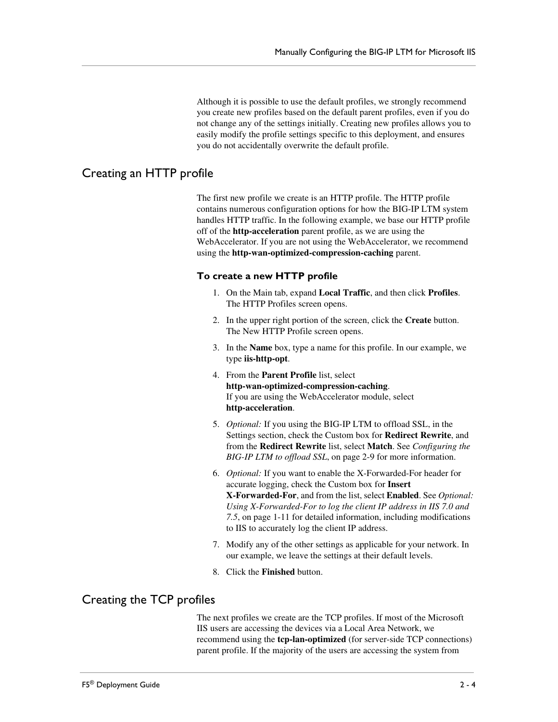Although it is possible to use the default profiles, we strongly recommend you create new profiles based on the default parent profiles, even if you do not change any of the settings initially. Creating new profiles allows you to easily modify the profile settings specific to this deployment, and ensures you do not accidentally overwrite the default profile.

### <span id="page-21-0"></span>Creating an HTTP profile

The first new profile we create is an HTTP profile. The HTTP profile contains numerous configuration options for how the BIG-IP LTM system handles HTTP traffic. In the following example, we base our HTTP profile off of the **http-acceleration** parent profile, as we are using the WebAccelerator. If you are not using the WebAccelerator, we recommend using the **http-wan-optimized-compression-caching** parent.

#### **To create a new HTTP profile**

- 1. On the Main tab, expand **Local Traffic**, and then click **Profiles**. The HTTP Profiles screen opens.
- 2. In the upper right portion of the screen, click the **Create** button. The New HTTP Profile screen opens.
- 3. In the **Name** box, type a name for this profile. In our example, we type **iis-http-opt**.
- 4. From the **Parent Profile** list, select **http-wan-optimized-compression-caching**. If you are using the WebAccelerator module, select **http-acceleration**.
- 5. *Optional:* If you using the BIG-IP LTM to offload SSL, in the Settings section, check the Custom box for **Redirect Rewrite**, and from the **Redirect Rewrite** list, select **Match**. See *[Configuring the](#page-26-0)  [BIG-IP LTM to offload SSL](#page-26-0)*, on page 2-9 for more information.
- 6. *Optional:* If you want to enable the X-Forwarded-For header for accurate logging, check the Custom box for **Insert X-Forwarded-For**, and from the list, select **Enabled**. See *[Optional:](#page--1-3)  [Using X-Forwarded-For to log the client IP address in IIS 7.0 and](#page--1-3)  7.5*[, on page 1-11](#page--1-3) for detailed information, including modifications to IIS to accurately log the client IP address.
- 7. Modify any of the other settings as applicable for your network. In our example, we leave the settings at their default levels.
- 8. Click the **Finished** button.

#### Creating the TCP profiles

The next profiles we create are the TCP profiles. If most of the Microsoft IIS users are accessing the devices via a Local Area Network, we recommend using the **tcp-lan-optimized** (for server-side TCP connections) parent profile. If the majority of the users are accessing the system from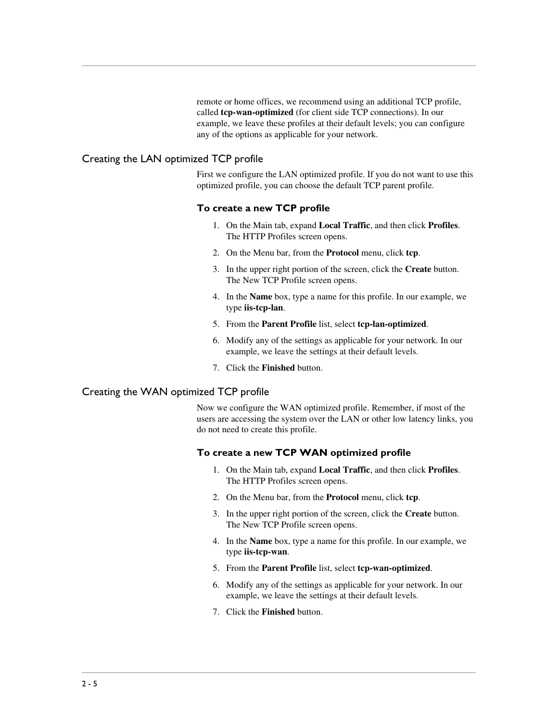remote or home offices, we recommend using an additional TCP profile, called **tcp-wan-optimized** (for client side TCP connections). In our example, we leave these profiles at their default levels; you can configure any of the options as applicable for your network.

#### Creating the LAN optimized TCP profile

First we configure the LAN optimized profile. If you do not want to use this optimized profile, you can choose the default TCP parent profile.

#### **To create a new TCP profile**

- 1. On the Main tab, expand **Local Traffic**, and then click **Profiles**. The HTTP Profiles screen opens.
- 2. On the Menu bar, from the **Protocol** menu, click **tcp**.
- 3. In the upper right portion of the screen, click the **Create** button. The New TCP Profile screen opens.
- 4. In the **Name** box, type a name for this profile. In our example, we type **iis-tcp-lan**.
- 5. From the **Parent Profile** list, select **tcp-lan-optimized**.
- 6. Modify any of the settings as applicable for your network. In our example, we leave the settings at their default levels.
- 7. Click the **Finished** button.

#### Creating the WAN optimized TCP profile

Now we configure the WAN optimized profile. Remember, if most of the users are accessing the system over the LAN or other low latency links, you do not need to create this profile.

#### **To create a new TCP WAN optimized profile**

- 1. On the Main tab, expand **Local Traffic**, and then click **Profiles**. The HTTP Profiles screen opens.
- 2. On the Menu bar, from the **Protocol** menu, click **tcp**.
- 3. In the upper right portion of the screen, click the **Create** button. The New TCP Profile screen opens.
- 4. In the **Name** box, type a name for this profile. In our example, we type **iis-tcp-wan**.
- 5. From the **Parent Profile** list, select **tcp-wan-optimized**.
- 6. Modify any of the settings as applicable for your network. In our example, we leave the settings at their default levels.
- 7. Click the **Finished** button.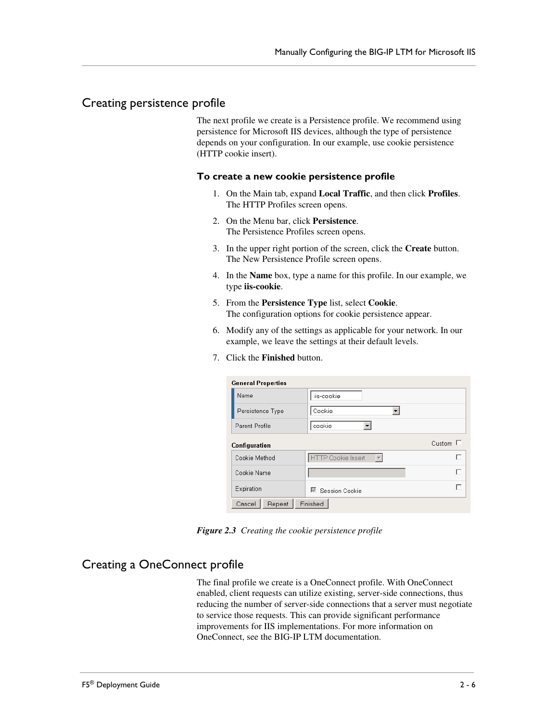#### Creating persistence profile

The next profile we create is a Persistence profile. We recommend using persistence for Microsoft IIS devices, although the type of persistence depends on your configuration. In our example, use cookie persistence (HTTP cookie insert).

#### **To create a new cookie persistence profile**

- 1. On the Main tab, expand **Local Traffic**, and then click **Profiles**. The HTTP Profiles screen opens.
- 2. On the Menu bar, click **Persistence**. The Persistence Profiles screen opens.
- 3. In the upper right portion of the screen, click the **Create** button. The New Persistence Profile screen opens.
- 4. In the **Name** box, type a name for this profile. In our example, we type **iis-cookie**.
- 5. From the **Persistence Type** list, select **Cookie**. The configuration options for cookie persistence appear.
- 6. Modify any of the settings as applicable for your network. In our example, we leave the settings at their default levels.
- 7. Click the **Finished** button.

| <b>General Properties</b> |                                                |        |
|---------------------------|------------------------------------------------|--------|
| Name                      | iis-cookie                                     |        |
| Persistence Type          | Cookie<br>▼                                    |        |
| Parent Profile            | cookie                                         |        |
| Configuration             |                                                | Custom |
| Cookie Method             | $\overline{\phantom{a}}$<br>HTTP Cookie Insert |        |
| Cookie Name               |                                                |        |
| Expiration                | Session Cookie<br>$\overline{\vee}$            |        |
| Cancel<br>Repeat          | Finished                                       |        |

*Figure 2.3 Creating the cookie persistence profile*

#### Creating a OneConnect profile

The final profile we create is a OneConnect profile. With OneConnect enabled, client requests can utilize existing, server-side connections, thus reducing the number of server-side connections that a server must negotiate to service those requests. This can provide significant performance improvements for IIS implementations. For more information on OneConnect, see the BIG-IP LTM documentation.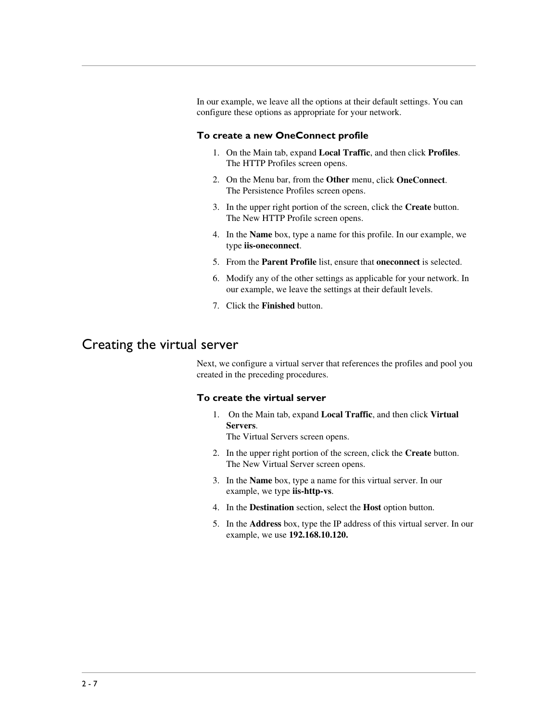In our example, we leave all the options at their default settings. You can configure these options as appropriate for your network.

#### **To create a new OneConnect profile**

- 1. On the Main tab, expand **Local Traffic**, and then click **Profiles**. The HTTP Profiles screen opens.
- 2. On the Menu bar, from the **Other** menu, click **OneConnect**. The Persistence Profiles screen opens.
- 3. In the upper right portion of the screen, click the **Create** button. The New HTTP Profile screen opens.
- 4. In the **Name** box, type a name for this profile. In our example, we type **iis-oneconnect**.
- 5. From the **Parent Profile** list, ensure that **oneconnect** is selected.
- 6. Modify any of the other settings as applicable for your network. In our example, we leave the settings at their default levels.
- 7. Click the **Finished** button.

### <span id="page-24-0"></span>Creating the virtual server

Next, we configure a virtual server that references the profiles and pool you created in the preceding procedures.

#### **To create the virtual server**

1. On the Main tab, expand **Local Traffic**, and then click **Virtual Servers**.

The Virtual Servers screen opens.

- 2. In the upper right portion of the screen, click the **Create** button. The New Virtual Server screen opens.
- 3. In the **Name** box, type a name for this virtual server. In our example, we type **iis-http-vs**.
- 4. In the **Destination** section, select the **Host** option button.
- 5. In the **Address** box, type the IP address of this virtual server. In our example, we use **192.168.10.120.**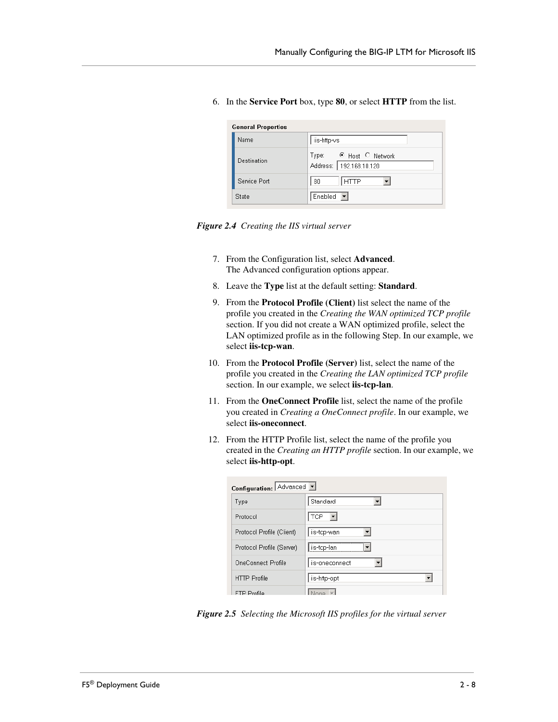|  | 6. In the Service Port box, type 80, or select HTTP from the list. |  |  |  |  |  |
|--|--------------------------------------------------------------------|--|--|--|--|--|
|--|--------------------------------------------------------------------|--|--|--|--|--|

| <b>General Properties</b> |                                                   |
|---------------------------|---------------------------------------------------|
| Name                      | iis-http-vs                                       |
| Destination               | Type: © Host C Network<br>Address: 192.168.10.120 |
| Service Port              | 80<br><b>HTTP</b>                                 |
| State                     | Enabled $\boxed{\mathbf{v}}$                      |

*Figure 2.4 Creating the IIS virtual server*

- 7. From the Configuration list, select **Advanced**. The Advanced configuration options appear.
- 8. Leave the **Type** list at the default setting: **Standard**.
- 9. From the **Protocol Profile (Client)** list select the name of the profile you created in the *Creating the WAN optimized TCP profile* section. If you did not create a WAN optimized profile, select the LAN optimized profile as in the following Step. In our example, we select **iis-tcp-wan**.
- 10. From the **Protocol Profile (Server)** list, select the name of the profile you created in the *Creating the LAN optimized TCP profile* section. In our example, we select **iis-tcp-lan**.
- 11. From the **OneConnect Profile** list, select the name of the profile you created in *Creating a OneConnect profile*. In our example, we select **iis-oneconnect**.
- 12. From the HTTP Profile list, select the name of the profile you created in the *Creating an HTTP profile* section. In our example, we select **iis-http-opt**.

| Configuration: Advanced   |                |  |  |
|---------------------------|----------------|--|--|
| Type                      | Standard       |  |  |
| Protocol                  | <b>TCP</b>     |  |  |
| Protocol Profile (Client) | iis-tcp-wan    |  |  |
| Protocol Profile (Server) | iis-tcp-lan    |  |  |
| OneConnect Profile        | iis-oneconnect |  |  |
| <b>HTTP Profile</b>       | iis-http-opt   |  |  |
| FTP Profile               |                |  |  |

*Figure 2.5 Selecting the Microsoft IIS profiles for the virtual server*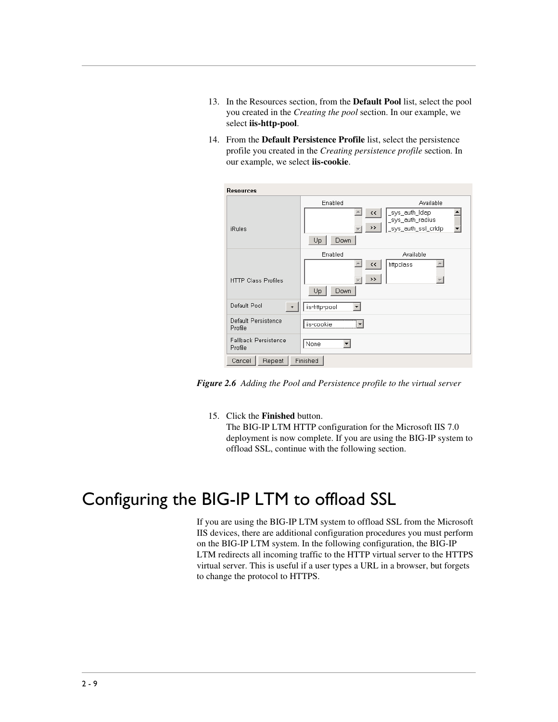- 13. In the Resources section, from the **Default Pool** list, select the pool you created in the *[Creating the pool](#page-19-0)* section. In our example, we select **iis-http-pool**.
- 14. From the **Default Persistence Profile** list, select the persistence profile you created in the *Creating persistence profile* section. In our example, we select **iis-cookie**.

| <b>Resources</b>                       |                                                  |                                    |
|----------------------------------------|--------------------------------------------------|------------------------------------|
|                                        | Enabled                                          | Available                          |
|                                        | $\leftrightarrow$                                | _sys_auth_Idap<br>_sys_auth_radius |
| <b>iRules</b>                          | >>                                               | _sys_auth_ssl_cridp                |
|                                        | Up<br>Down                                       |                                    |
|                                        | Enabled                                          | Available                          |
| <b>HTTP Class Profiles</b>             | $\leftrightarrow$<br>$\rightarrow$<br>Up<br>Down | httpclass                          |
| Default Pool<br>$\ddot{}$              | iis-http-pool                                    |                                    |
| Default Persistence<br>Profile         | lis-cookie<br>                                   |                                    |
| <b>Fallback Persistence</b><br>Profile | None                                             |                                    |
| Repeat<br>Cancel                       | Finished                                         |                                    |

*Figure 2.6 Adding the Pool and Persistence profile to the virtual server*

15. Click the **Finished** button.

The BIG-IP LTM HTTP configuration for the Microsoft IIS 7.0 deployment is now complete. If you are using the BIG-IP system to offload SSL, continue with the following section.

# <span id="page-26-0"></span>Configuring the BIG-IP LTM to offload SSL

If you are using the BIG-IP LTM system to offload SSL from the Microsoft IIS devices, there are additional configuration procedures you must perform on the BIG-IP LTM system. In the following configuration, the BIG-IP LTM redirects all incoming traffic to the HTTP virtual server to the HTTPS virtual server. This is useful if a user types a URL in a browser, but forgets to change the protocol to HTTPS.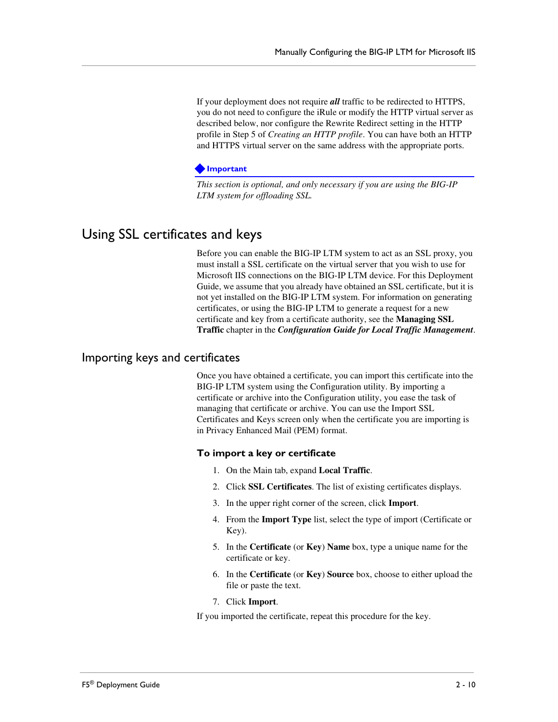If your deployment does not require *all* traffic to be redirected to HTTPS, you do not need to configure the iRule or modify the HTTP virtual server as described below, nor configure the Rewrite Redirect setting in the HTTP profile in Step 5 of *Creating an HTTP profile*. You can have both an HTTP and HTTPS virtual server on the same address with the appropriate ports.

#### **Important**

*This section is optional, and only necessary if you are using the BIG-IP LTM system for offloading SSL.*

# <span id="page-27-0"></span>Using SSL certificates and keys

Before you can enable the BIG-IP LTM system to act as an SSL proxy, you must install a SSL certificate on the virtual server that you wish to use for Microsoft IIS connections on the BIG-IP LTM device. For this Deployment Guide, we assume that you already have obtained an SSL certificate, but it is not yet installed on the BIG-IP LTM system. For information on generating certificates, or using the BIG-IP LTM to generate a request for a new certificate and key from a certificate authority, see the **Managing SSL Traffic** chapter in the *Configuration Guide for Local Traffic Management*.

#### Importing keys and certificates

Once you have obtained a certificate, you can import this certificate into the BIG-IP LTM system using the Configuration utility. By importing a certificate or archive into the Configuration utility, you ease the task of managing that certificate or archive. You can use the Import SSL Certificates and Keys screen only when the certificate you are importing is in Privacy Enhanced Mail (PEM) format.

#### **To import a key or certificate**

- 1. On the Main tab, expand **Local Traffic**.
- 2. Click **SSL Certificates**. The list of existing certificates displays.
- 3. In the upper right corner of the screen, click **Import**.
- 4. From the **Import Type** list, select the type of import (Certificate or Key).
- 5. In the **Certificate** (or **Key**) **Name** box, type a unique name for the certificate or key.
- 6. In the **Certificate** (or **Key**) **Source** box, choose to either upload the file or paste the text.
- 7. Click **Import**.

If you imported the certificate, repeat this procedure for the key.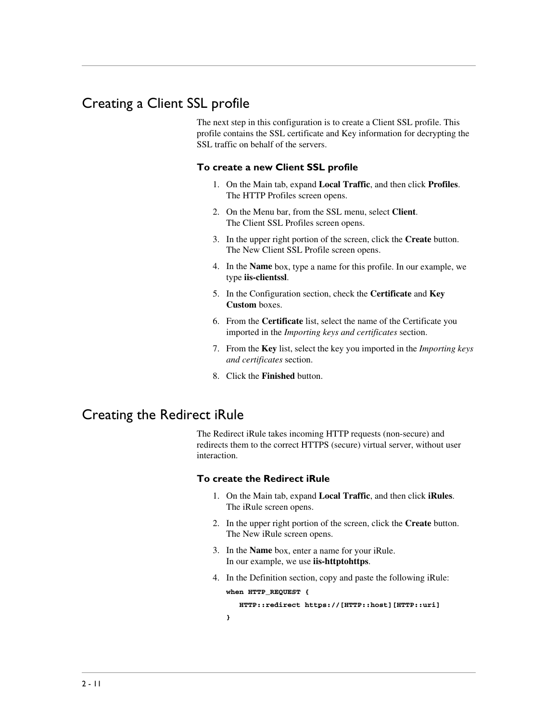# <span id="page-28-0"></span>Creating a Client SSL profile

The next step in this configuration is to create a Client SSL profile. This profile contains the SSL certificate and Key information for decrypting the SSL traffic on behalf of the servers.

#### **To create a new Client SSL profile**

- 1. On the Main tab, expand **Local Traffic**, and then click **Profiles**. The HTTP Profiles screen opens.
- 2. On the Menu bar, from the SSL menu, select **Client**. The Client SSL Profiles screen opens.
- 3. In the upper right portion of the screen, click the **Create** button. The New Client SSL Profile screen opens.
- 4. In the **Name** box, type a name for this profile. In our example, we type **iis-clientssl**.
- 5. In the Configuration section, check the **Certificate** and **Key Custom** boxes.
- 6. From the **Certificate** list, select the name of the Certificate you imported in the *Importing keys and certificates* section.
- 7. From the **Key** list, select the key you imported in the *Importing keys and certificates* section.
- 8. Click the **Finished** button.

### <span id="page-28-1"></span>Creating the Redirect iRule

The Redirect iRule takes incoming HTTP requests (non-secure) and redirects them to the correct HTTPS (secure) virtual server, without user interaction.

#### **To create the Redirect iRule**

- 1. On the Main tab, expand **Local Traffic**, and then click **iRules**. The iRule screen opens.
- 2. In the upper right portion of the screen, click the **Create** button. The New iRule screen opens.
- 3. In the **Name** box, enter a name for your iRule. In our example, we use **iis-httptohttps**.
- 4. In the Definition section, copy and paste the following iRule:

```
when HTTP_REQUEST {
HTTP::redirect https://[HTTP::host][HTTP::uri]
```
**}**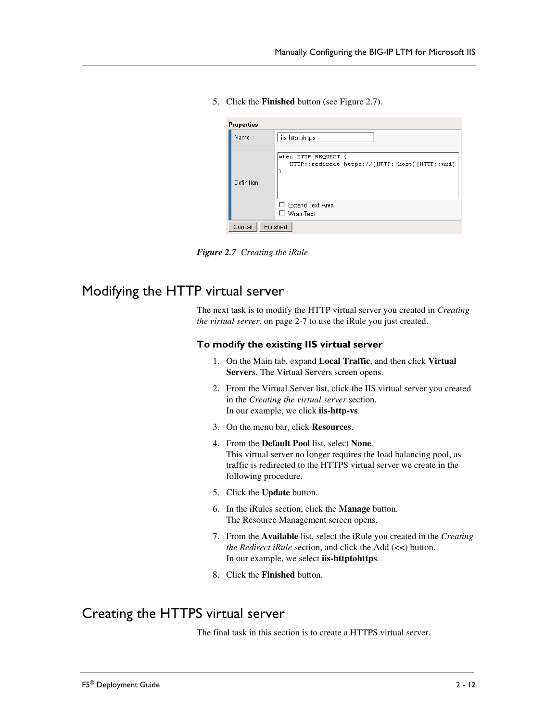5. Click the **Finished** button (see Figure 2.7).

| Properties |                                                                       |
|------------|-----------------------------------------------------------------------|
| Name       | iis-httptohttps                                                       |
| Definition | when HTTP REQUEST {<br>HTTP::redirect https://[HTTP::host][HTTP::uri] |
|            | Extend Text Area<br>Wrap Text                                         |
| Cancel     | Finished                                                              |

*Figure 2.7 Creating the iRule*

# <span id="page-29-0"></span>Modifying the HTTP virtual server

The next task is to modify the HTTP virtual server you created in *[Creating](#page-24-0)  [the virtual server](#page-24-0)*, on page 2-7 to use the iRule you just created.

#### **To modify the existing IIS virtual server**

- 1. On the Main tab, expand **Local Traffic**, and then click **Virtual Servers**. The Virtual Servers screen opens.
- 2. From the Virtual Server list, click the IIS virtual server you created in the *[Creating the virtual server](#page-24-0)* section. In our example, we click **iis-http-vs**.
- 3. On the menu bar, click **Resources**.
- 4. From the **Default Pool** list, select **None**. This virtual server no longer requires the load balancing pool, as traffic is redirected to the HTTPS virtual server we create in the following procedure.
- 5. Click the **Update** button.
- 6. In the iRules section, click the **Manage** button. The Resource Management screen opens.
- 7. From the **Available** list, select the iRule you created in the *[Creating](#page-28-1)  [the Redirect iRule](#page-28-1)* section, and click the Add (**<<**) button. In our example, we select **iis-httptohttps**.
- 8. Click the **Finished** button.

# <span id="page-29-1"></span>Creating the HTTPS virtual server

The final task in this section is to create a HTTPS virtual server.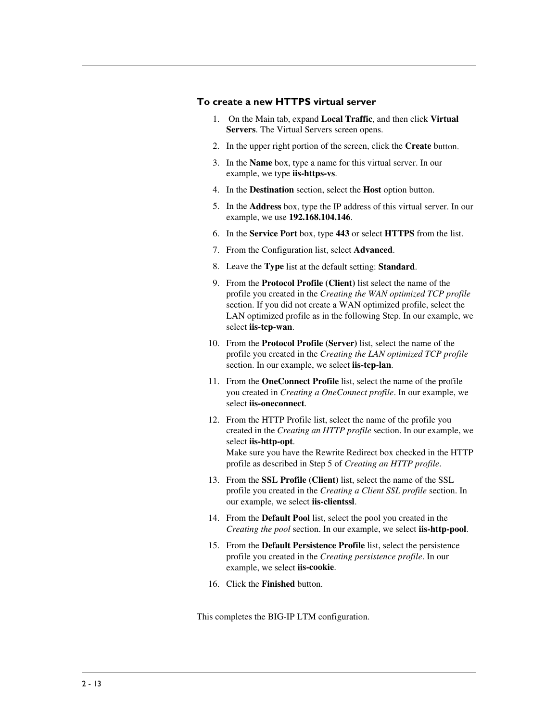#### **To create a new HTTPS virtual server**

- 1. On the Main tab, expand **Local Traffic**, and then click **Virtual Servers**. The Virtual Servers screen opens.
- 2. In the upper right portion of the screen, click the **Create** button.
- 3. In the **Name** box, type a name for this virtual server. In our example, we type **iis-https-vs**.
- 4. In the **Destination** section, select the **Host** option button.
- 5. In the **Address** box, type the IP address of this virtual server. In our example, we use **192.168.104.146**.
- 6. In the **Service Port** box, type **443** or select **HTTPS** from the list.
- 7. From the Configuration list, select **Advanced**.
- 8. Leave the **Type** list at the default setting: **Standard**.
- 9. From the **Protocol Profile (Client)** list select the name of the profile you created in the *Creating the WAN optimized TCP profile* section. If you did not create a WAN optimized profile, select the LAN optimized profile as in the following Step. In our example, we select **iis-tcp-wan**.
- 10. From the **Protocol Profile (Server)** list, select the name of the profile you created in the *Creating the LAN optimized TCP profile* section. In our example, we select **iis-tcp-lan**.
- 11. From the **OneConnect Profile** list, select the name of the profile you created in *Creating a OneConnect profile*. In our example, we select **iis-oneconnect**.
- 12. From the HTTP Profile list, select the name of the profile you created in the *Creating an HTTP profile* section. In our example, we select **iis-http-opt**. Make sure you have the Rewrite Redirect box checked in the HTTP profile as described in Step 5 of *Creating an HTTP profile*.
- 13. From the **SSL Profile (Client)** list, select the name of the SSL profile you created in the *[Creating a Client SSL profile](#page-28-0)* section. In our example, we select **iis-clientssl**.
- 14. From the **Default Pool** list, select the pool you created in the *[Creating the pool](#page-19-0)* section. In our example, we select **iis-http-pool**.
- 15. From the **Default Persistence Profile** list, select the persistence profile you created in the *Creating persistence profile*. In our example, we select **iis-cookie**.
- 16. Click the **Finished** button.

This completes the BIG-IP LTM configuration.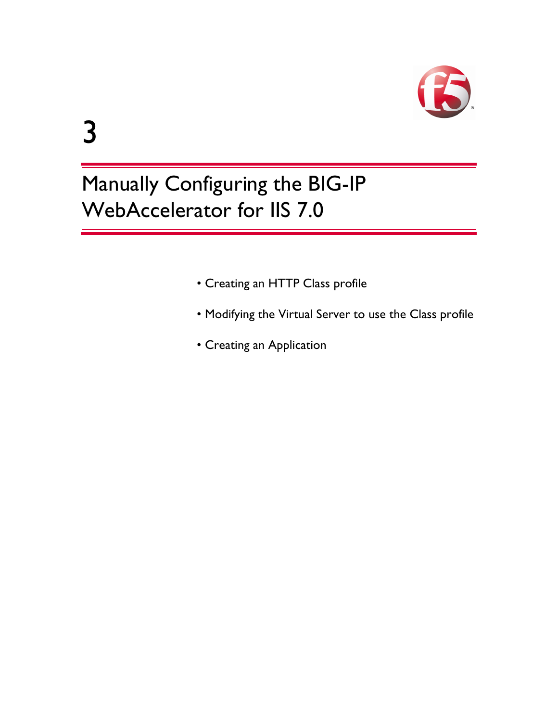

# 3

# Manually Configuring the BIG-IP WebAccelerator for IIS 7.0

- [Creating an HTTP Class profile](#page-33-1)
- [Modifying the Virtual Server to use the Class profile](#page-34-0)
- [Creating an Application](#page-35-0)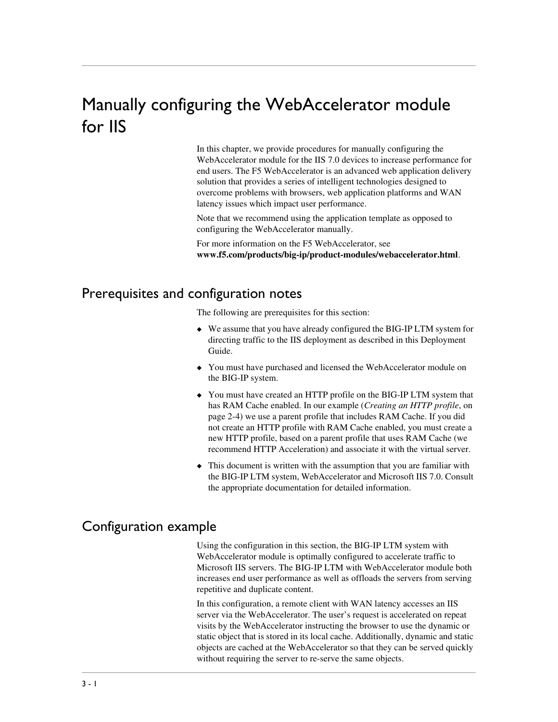# <span id="page-32-3"></span><span id="page-32-0"></span>Manually configuring the WebAccelerator module for IIS

In this chapter, we provide procedures for manually configuring the WebAccelerator module for the IIS 7.0 devices to increase performance for end users. The F5 WebAccelerator is an advanced web application delivery solution that provides a series of intelligent technologies designed to overcome problems with browsers, web application platforms and WAN latency issues which impact user performance.

Note that we recommend using the application template as opposed to configuring the WebAccelerator manually.

For more information on the F5 WebAccelerator, see **[www.f5.com/products/big-ip/product-modules/webaccelerator.html](http://www.f5.com/products/big-ip/product-modules/webaccelerator.html)**.

# <span id="page-32-1"></span>Prerequisites and configuration notes

The following are prerequisites for this section:

- ◆ We assume that you have already configured the BIG-IP LTM system for directing traffic to the IIS deployment as described in this Deployment Guide.
- ◆ You must have purchased and licensed the WebAccelerator module on the BIG-IP system.
- ◆ You must have created an HTTP profile on the BIG-IP LTM system that has RAM Cache enabled. In our example (*[Creating an HTTP profile](#page-21-0)*, on [page 2-4](#page-21-0)) we use a parent profile that includes RAM Cache. If you did not create an HTTP profile with RAM Cache enabled, you must create a new HTTP profile, based on a parent profile that uses RAM Cache (we recommend HTTP Acceleration) and associate it with the virtual server.
- ◆ This document is written with the assumption that you are familiar with the BIG-IP LTM system, WebAccelerator and Microsoft IIS 7.0. Consult the appropriate documentation for detailed information.

# <span id="page-32-2"></span>Configuration example

Using the configuration in this section, the BIG-IP LTM system with WebAccelerator module is optimally configured to accelerate traffic to Microsoft IIS servers. The BIG-IP LTM with WebAccelerator module both increases end user performance as well as offloads the servers from serving repetitive and duplicate content.

In this configuration, a remote client with WAN latency accesses an IIS server via the WebAccelerator. The user's request is accelerated on repeat visits by the WebAccelerator instructing the browser to use the dynamic or static object that is stored in its local cache. Additionally, dynamic and static objects are cached at the WebAccelerator so that they can be served quickly without requiring the server to re-serve the same objects.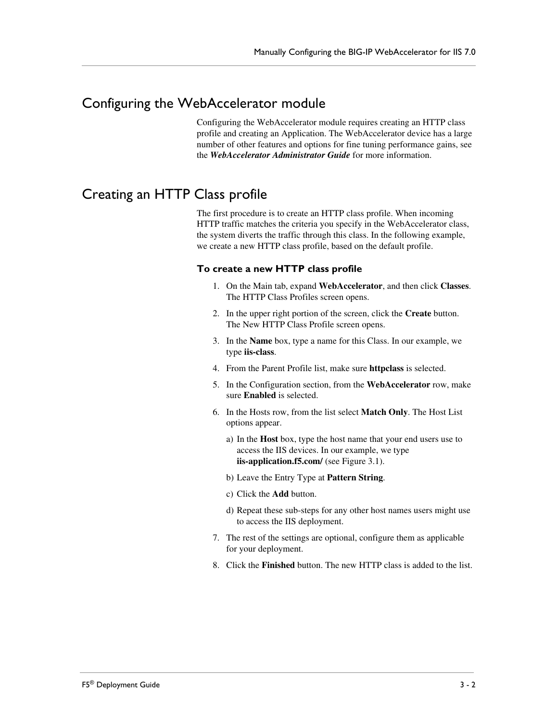# <span id="page-33-0"></span>Configuring the WebAccelerator module

Configuring the WebAccelerator module requires creating an HTTP class profile and creating an Application. The WebAccelerator device has a large number of other features and options for fine tuning performance gains, see the *WebAccelerator Administrator Guide* for more information.

# <span id="page-33-1"></span>Creating an HTTP Class profile

The first procedure is to create an HTTP class profile. When incoming HTTP traffic matches the criteria you specify in the WebAccelerator class, the system diverts the traffic through this class. In the following example, we create a new HTTP class profile, based on the default profile.

#### **To create a new HTTP class profile**

- 1. On the Main tab, expand **WebAccelerator**, and then click **Classes**. The HTTP Class Profiles screen opens.
- 2. In the upper right portion of the screen, click the **Create** button. The New HTTP Class Profile screen opens.
- 3. In the **Name** box, type a name for this Class. In our example, we type **iis-class**.
- 4. From the Parent Profile list, make sure **httpclass** is selected.
- 5. In the Configuration section, from the **WebAccelerator** row, make sure **Enabled** is selected.
- 6. In the Hosts row, from the list select **Match Only**. The Host List options appear.
	- a) In the **Host** box, type the host name that your end users use to access the IIS devices. In our example, we type **iis-application.f5.com/** (see Figure 3.1).
	- b) Leave the Entry Type at **Pattern String**.
	- c) Click the **Add** button.
	- d) Repeat these sub-steps for any other host names users might use to access the IIS deployment.
- 7. The rest of the settings are optional, configure them as applicable for your deployment.
- 8. Click the **Finished** button. The new HTTP class is added to the list.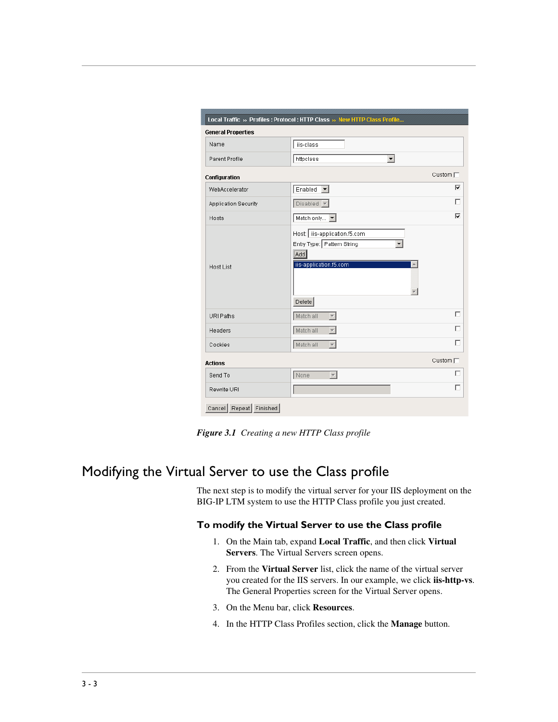| <b>General Properties</b> |                                                                                                       |                       |
|---------------------------|-------------------------------------------------------------------------------------------------------|-----------------------|
| Name                      | iis-class                                                                                             |                       |
| Parent Profile            | httpclass<br>$\overline{\phantom{a}}$                                                                 |                       |
| Configuration             |                                                                                                       | Custom $\Box$         |
| WebAccelerator            | Enabled<br>$\vert$                                                                                    | ⊽                     |
| Application Security      | $Disable \sqrt{\phantom{a}}$                                                                          | ┍                     |
| Hosts                     | Match only                                                                                            | ⊽                     |
| Host List                 | Host: iis-application.f5.com<br>Entry Type: Pattern String<br>Add<br>iis-application.f5.com<br>Delete |                       |
| URI Paths                 | Match all<br>$\overline{\phantom{a}}$                                                                 | г                     |
| Headers                   | Match all<br>$\overline{\phantom{m}}$                                                                 | г                     |
| Cookies                   | Match all<br>$\overline{\nabla}$                                                                      | г                     |
| <b>Actions</b>            |                                                                                                       | Custom <sup>[7]</sup> |
| Send To                   | None<br>$\overline{\phantom{m}}$                                                                      | г                     |
| Rewrite URI               |                                                                                                       | г                     |

*Figure 3.1 Creating a new HTTP Class profile*

# <span id="page-34-0"></span>Modifying the Virtual Server to use the Class profile

The next step is to modify the virtual server for your IIS deployment on the BIG-IP LTM system to use the HTTP Class profile you just created.

#### **To modify the Virtual Server to use the Class profile**

- 1. On the Main tab, expand **Local Traffic**, and then click **Virtual Servers**. The Virtual Servers screen opens.
- 2. From the **Virtual Server** list, click the name of the virtual server you created for the IIS servers. In our example, we click **iis-http-vs**. The General Properties screen for the Virtual Server opens.
- 3. On the Menu bar, click **Resources**.
- 4. In the HTTP Class Profiles section, click the **Manage** button.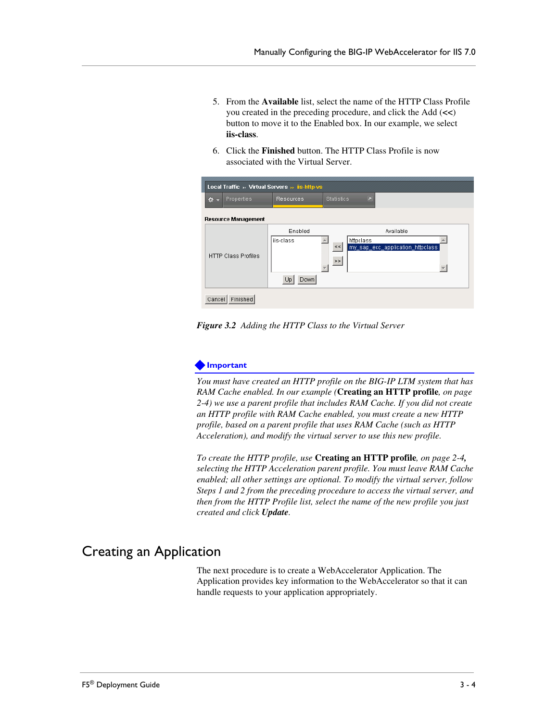- 5. From the **Available** list, select the name of the HTTP Class Profile you created in the preceding procedure, and click the Add (**<<**) button to move it to the Enabled box. In our example, we select **iis-class**.
- 6. Click the **Finished** button. The HTTP Class Profile is now associated with the Virtual Server.

| Local Traffic » Virtual Servers » iis-http-vs |                            |                                     |                                                                                       |  |
|-----------------------------------------------|----------------------------|-------------------------------------|---------------------------------------------------------------------------------------|--|
| $\Phi$ -                                      | Properties                 | Resources                           | 囗<br><b>Statistics</b>                                                                |  |
|                                               | <b>Resource Management</b> |                                     |                                                                                       |  |
|                                               | <b>HTTP Class Profiles</b> | Enabled<br>liis-class<br>Down<br>Up | Available<br>httpclass<br>my_sap_ecc_application_httpclass<br>$<\,<$<br>$\geq$ $\geq$ |  |
| Cancel                                        | Finished                   |                                     |                                                                                       |  |





*You must have created an HTTP profile on the BIG-IP LTM system that has RAM Cache enabled. In our example (***[Creating an HTTP profile](#page-21-0)***, on page [2-4](#page-21-0)) we use a parent profile that includes RAM Cache. If you did not create an HTTP profile with RAM Cache enabled, you must create a new HTTP profile, based on a parent profile that uses RAM Cache (such as HTTP Acceleration), and modify the virtual server to use this new profile.*

*To create the HTTP profile, use* **[Creating an HTTP profile](#page-21-0)***, on page 2-4, selecting the HTTP Acceleration parent profile. You must leave RAM Cache enabled; all other settings are optional. To modify the virtual server, follow Steps 1 and 2 from the preceding procedure to access the virtual server, and then from the HTTP Profile list, select the name of the new profile you just created and click Update.*

# <span id="page-35-0"></span>Creating an Application

The next procedure is to create a WebAccelerator Application. The Application provides key information to the WebAccelerator so that it can handle requests to your application appropriately.